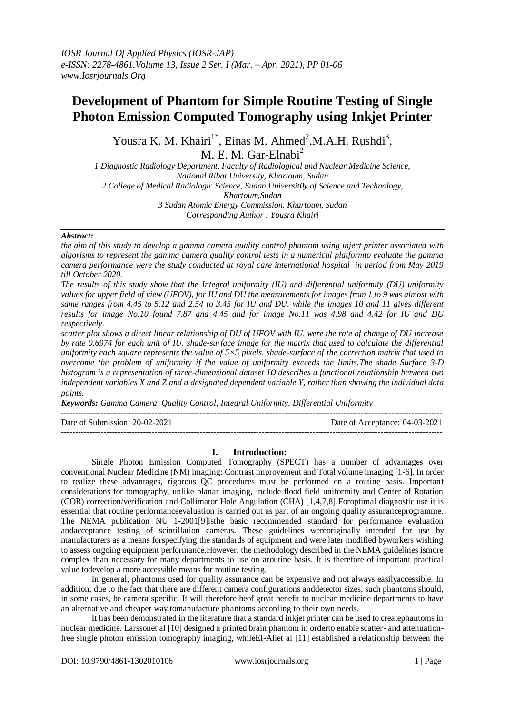# **Development of Phantom for Simple Routine Testing of Single Photon Emission Computed Tomography using Inkjet Printer**

Yousra K. M. Khairi<sup>1\*</sup>, Einas M. Ahmed<sup>2</sup>, M.A.H. Rushdi<sup>3</sup>, M. E. M. Gar-Elnabi<sup>2</sup>

*1 Diagnostic Radiology Department, Faculty of Radiological and Nuclear Medicine Science, National Ribat University, Khartoum, Sudan 2 College of Medical Radiologic Science, Sudan Universit0y of Science and Technology, Khartoum,Sudan 3 Sudan Atomic Energy Commission, Khartoum, Sudan Corresponding Author : Yousra Khairi*

# *Abstract:*

*the aim of this study to develop a gamma camera quality control phantom using inject printer associated with algorisms to represent the gamma camera quality control tests in a numerical platformto evaluate the gamma camera performance were the study conducted at royal care international hospital in period from May 2019 till October 2020.* 

*The results of this study show that the Integral uniformity (IU) and differential uniformity (DU) uniformity values for upper field of view (UFOV), for IU and DU the measurements for images from 1 to 9 was almost with same ranges from 4.45 to 5.12 and 2.54 to 3.45 for IU and DU. while the images 10 and 11 gives different results for image No.10 found 7.87 and 4.45 and for image No.11 was 4.98 and 4.42 for IU and DU respectively.* 

*scatter plot shows a direct linear relationship of DU of UFOV with IU, were the rate of change of DU increase by rate 0.6974 for each unit of IU. shade-surface image for the matrix that used to calculate the differential uniformity each square represents the value of 5×5 pixels. shade-surface of the correction matrix that used to overcome the problem of uniformity if the value of uniformity exceeds the limits.The shade Surface 3-D histogram is a representation of three-dimensional dataset TO describes a functional relationship between two independent variables X and Z and a designated dependent variable Y, rather than showing the individual data points.*

*Keywords: Gamma Camera, Quality Control, Integral Uniformity, Differential Uniformity* ---------------------------------------------------------------------------------------------------------------------------------------

Date of Submission: 20-02-2021 Date of Acceptance: 04-03-2021

# **I. Introduction:**

 $-1-\frac{1}{2}$ 

Single Photon Emission Computed Tomography (SPECT) has a number of advantages over conventional Nuclear Medicine (NM) imaging: Contrast improvement and Total volume imaging [1-6]. In order to realize these advantages, rigorous QC procedures must be performed on a routine basis. Important considerations for tomography, unlike planar imaging, include flood field uniformity and Center of Rotation (COR) correction/verification and Collimator Hole Angulation (CHA) [1,4,7,8].Foroptimal diagnostic use it is essential that routine performanceevaluation is carried out as part of an ongoing quality assuranceprogramme. The NEMA publication NU 1-2001[9]isthe basic recommended standard for performance evaluation andacceptance testing of scintillation cameras. These guidelines wereoriginally intended for use by manufacturers as a means forspecifying the standards of equipment and were later modified byworkers wishing to assess ongoing equipment performance.However, the methodology described in the NEMA guidelines ismore complex than necessary for many departments to use on aroutine basis. It is therefore of important practical value todevelop a more accessible means for routine testing.

In general, phantoms used for quality assurance can be expensive and not always easilyaccessible. In addition, due to the fact that there are different camera configurations anddetector sizes, such phantoms should, in some cases, be camera specific. It will therefore beof great benefit to nuclear medicine departments to have an alternative and cheaper way tomanufacture phantoms according to their own needs.

It has been demonstrated in the literature that a standard inkjet printer can be used to createphantoms in nuclear medicine. Larssonet al [10] designed a printed brain phantom in orderto enable scatter- and attenuationfree single photon emission tomography imaging, whileEl-Aliet al [11] established a relationship between the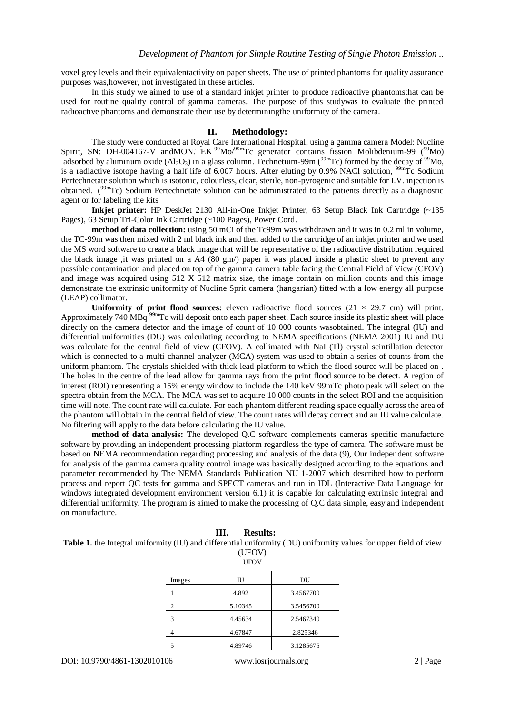voxel grey levels and their equivalentactivity on paper sheets. The use of printed phantoms for quality assurance purposes was,however, not investigated in these articles.

In this study we aimed to use of a standard inkjet printer to produce radioactive phantomsthat can be used for routine quality control of gamma cameras. The purpose of this studywas to evaluate the printed radioactive phantoms and demonstrate their use by determiningthe uniformity of the camera.

# **II. Methodology:**

The study were conducted at Royal Care International Hospital, using a gamma camera Model: Nucline Spirit, SN: DH-004167-V andMON.TEK<sup>99</sup>Mo/<sup>99m</sup>Tc generator contains fission Molibdenium-99 (<sup>99</sup>Mo) adsorbed by aluminum oxide  $(Al_2O_3)$  in a glass column. Technetium-99m ( $^{99m}$ Tc) formed by the decay of  $^{99}$ Mo, is a radiactive isotope having a half life of 6.007 hours. After eluting by 0.9% NACl solution,  $^{99m}$ Tc Sodium Pertechnetate solution which is isotonic, colourless, clear, sterile, non-pyrogenic and suitable for I.V. injection is obtained. (<sup>99m</sup>Tc) Sodium Pertechnetate solution can be administrated to the patients directly as a diagnostic agent or for labeling the kits

**Inkjet printer:** HP DeskJet 2130 All-in-One Inkjet Printer, 63 Setup Black Ink Cartridge (~135 Pages), 63 Setup Tri-Color Ink Cartridge (~100 Pages), Power Cord.

**method of data collection:** using 50 mCi of the Tc99m was withdrawn and it was in 0.2 ml in volume, the TC-99m was then mixed with 2 ml black ink and then added to the cartridge of an inkjet printer and we used the MS word software to create a black image that will be representative of the radioactive distribution required the black image ,it was printed on a A4 (80 gm/) paper it was placed inside a plastic sheet to prevent any possible contamination and placed on top of the gamma camera table facing the Central Field of View (CFOV) and image was acquired using  $512 \times 512$  matrix size, the image contain on million counts and this image demonstrate the extrinsic uniformity of Nucline Sprit camera (hangarian) fitted with a low energy all purpose (LEAP) collimator.

**Uniformity of print flood sources:** eleven radioactive flood sources  $(21 \times 29.7 \text{ cm})$  will print. Approximately 740 MBq<sup>39m</sup>Tc will deposit onto each paper sheet. Each source inside its plastic sheet will place directly on the camera detector and the image of count of 10 000 counts wasobtained. The integral (IU) and differential uniformities (DU) was calculating according to NEMA specifications (NEMA 2001) IU and DU was calculate for the central field of view (CFOV). A collimated with NaI (Tl) crystal scintillation detector which is connected to a multi-channel analyzer (MCA) system was used to obtain a series of counts from the uniform phantom. The crystals shielded with thick lead platform to which the flood source will be placed on . The holes in the centre of the lead allow for gamma rays from the print flood source to be detect. A region of interest (ROI) representing a 15% energy window to include the 140 keV 99mTc photo peak will select on the spectra obtain from the MCA. The MCA was set to acquire 10 000 counts in the select ROI and the acquisition time will note. The count rate will calculate. For each phantom different reading space equally across the area of the phantom will obtain in the central field of view. The count rates will decay correct and an IU value calculate. No filtering will apply to the data before calculating the IU value.

**method of data analysis:** The developed Q.C software complements cameras specific manufacture software by providing an independent processing platform regardless the type of camera. The software must be based on NEMA recommendation regarding processing and analysis of the data (9), Our independent software for analysis of the gamma camera quality control image was basically designed according to the equations and parameter recommended by The NEMA Standards Publication NU 1-2007 which described how to perform process and report QC tests for gamma and SPECT cameras and run in IDL (Interactive Data Language for windows integrated development environment version 6.1) it is capable for calculating extrinsic integral and differential uniformity. The program is aimed to make the processing of Q.C data simple, easy and independent on manufacture.

| (UFOV)<br><b>UFOV</b> |         |           |  |
|-----------------------|---------|-----------|--|
|                       |         |           |  |
|                       | 4.892   | 3.4567700 |  |
| 2                     | 5.10345 | 3.5456700 |  |
| 3                     | 4.45634 | 2.5467340 |  |
| 4                     | 4.67847 | 2.825346  |  |
| 5                     | 4.89746 | 3.1285675 |  |

**III. Results:**

**Table 1.** the Integral uniformity (IU) and differential uniformity (DU) uniformity values for upper field of view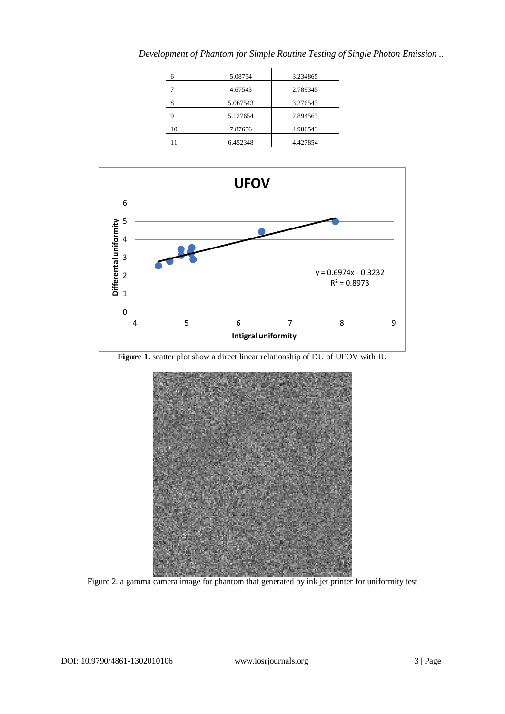| 6  | 5.08754  | 3.234865 |
|----|----------|----------|
|    | 4.67543  | 2.789345 |
| 8  | 5.067543 | 3.276543 |
| 9  | 5.127654 | 2.894563 |
| 10 | 7.87656  | 4.986543 |
|    | 6.452348 | 4.427854 |

*Development of Phantom for Simple Routine Testing of Single Photon Emission ..*



Figure 1. scatter plot show a direct linear relationship of DU of UFOV with IU



Figure 2. a gamma camera image for phantom that generated by ink jet printer for uniformity test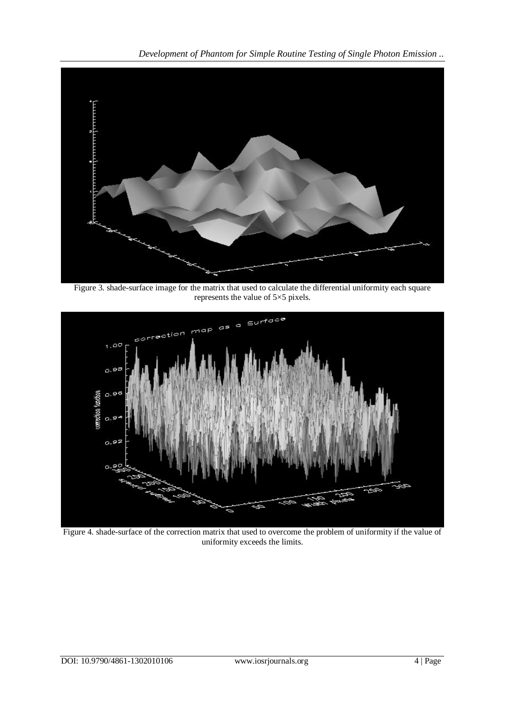*Development of Phantom for Simple Routine Testing of Single Photon Emission ..*



Figure 3. shade-surface image for the matrix that used to calculate the differential uniformity each square represents the value of 5×5 pixels.



Figure 4. shade-surface of the correction matrix that used to overcome the problem of uniformity if the value of uniformity exceeds the limits.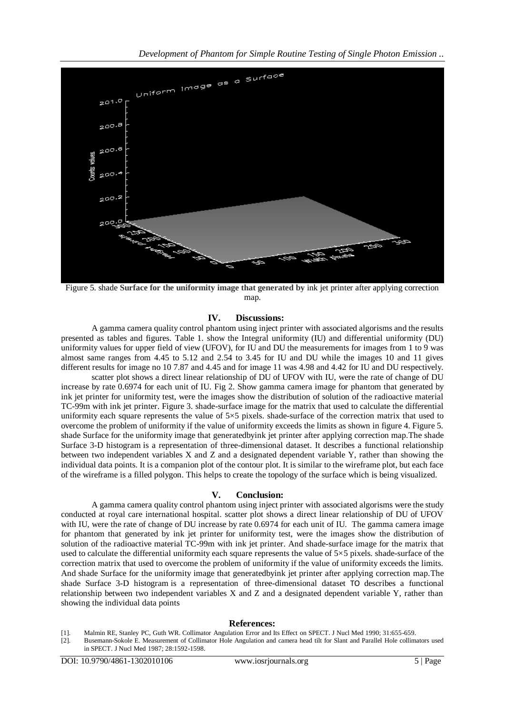

Figure 5. shade **Surface for the uniformity image that generated by** ink jet printer after applying correction map.

# **IV. Discussions:**

A gamma camera quality control phantom using inject printer with associated algorisms and the results presented as tables and figures. Table 1. show the Integral uniformity (IU) and differential uniformity (DU) uniformity values for upper field of view (UFOV), for IU and DU the measurements for images from 1 to 9 was almost same ranges from 4.45 to 5.12 and 2.54 to 3.45 for IU and DU while the images 10 and 11 gives different results for image no 10 7.87 and 4.45 and for image 11 was 4.98 and 4.42 for IU and DU respectively.

scatter plot shows a direct linear relationship of DU of UFOV with IU, were the rate of change of DU increase by rate 0.6974 for each unit of IU. Fig 2. Show gamma camera image for phantom that generated by ink jet printer for uniformity test, were the images show the distribution of solution of the radioactive material TC-99m with ink jet printer. Figure 3. shade-surface image for the matrix that used to calculate the differential uniformity each square represents the value of  $5\times5$  pixels. shade-surface of the correction matrix that used to overcome the problem of uniformity if the value of uniformity exceeds the limits as shown in figure 4. Figure 5. shade Surface for the uniformity image that generatedbyink jet printer after applying correction map.The shade Surface 3-D histogram is a representation of three-dimensional dataset. It describes a functional relationship between two independent variables X and Z and a designated dependent variable Y, rather than showing the individual data points. It is a companion plot of the contour plot. It is similar to the wireframe plot, but each face of the wireframe is a filled polygon. This helps to create the topology of the surface which is being visualized.

### **V. Conclusion:**

A gamma camera quality control phantom using inject printer with associated algorisms were the study conducted at royal care international hospital. scatter plot shows a direct linear relationship of DU of UFOV with IU, were the rate of change of DU increase by rate 0.6974 for each unit of IU. The gamma camera image for phantom that generated by ink jet printer for uniformity test, were the images show the distribution of solution of the radioactive material TC-99m with ink jet printer. And shade-surface image for the matrix that used to calculate the differential uniformity each square represents the value of  $5\times 5$  pixels. shade-surface of the correction matrix that used to overcome the problem of uniformity if the value of uniformity exceeds the limits. And shade Surface for the uniformity image that generatedbyink jet printer after applying correction map.The shade Surface 3-D histogram is a representation of three-dimensional dataset TO describes a functional relationship between two independent variables X and Z and a designated dependent variable Y, rather than showing the individual data points

#### **References:**

- [1]. Malmin RE, Stanley PC, Guth WR. Collimator Angulation Error and Its Effect on SPECT. J Nucl Med 1990; 31:655-659.
- [2]. Busemann-Sokole E. Measurement of Collimator Hole Angulation and camera head tilt for Slant and Parallel Hole collimators used in SPECT. J Nucl Med 1987; 28:1592-1598.